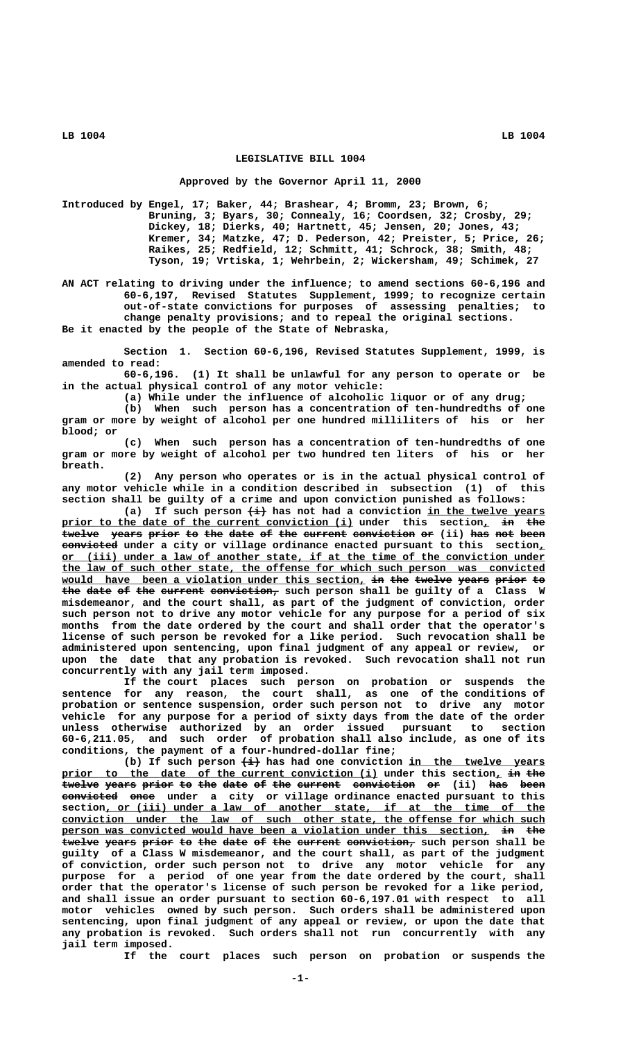## **LEGISLATIVE BILL 1004**

#### **Approved by the Governor April 11, 2000**

**Introduced by Engel, 17; Baker, 44; Brashear, 4; Bromm, 23; Brown, 6; Bruning, 3; Byars, 30; Connealy, 16; Coordsen, 32; Crosby, 29; Dickey, 18; Dierks, 40; Hartnett, 45; Jensen, 20; Jones, 43; Kremer, 34; Matzke, 47; D. Pederson, 42; Preister, 5; Price, 26; Raikes, 25; Redfield, 12; Schmitt, 41; Schrock, 38; Smith, 48; Tyson, 19; Vrtiska, 1; Wehrbein, 2; Wickersham, 49; Schimek, 27**

**AN ACT relating to driving under the influence; to amend sections 60-6,196 and 60-6,197, Revised Statutes Supplement, 1999; to recognize certain out-of-state convictions for purposes of assessing penalties; to change penalty provisions; and to repeal the original sections. Be it enacted by the people of the State of Nebraska,**

**Section 1. Section 60-6,196, Revised Statutes Supplement, 1999, is amended to read:**

**60-6,196. (1) It shall be unlawful for any person to operate or be in the actual physical control of any motor vehicle:**

**(a) While under the influence of alcoholic liquor or of any drug;**

**(b) When such person has a concentration of ten-hundredths of one gram or more by weight of alcohol per one hundred milliliters of his or her blood; or**

**(c) When such person has a concentration of ten-hundredths of one gram or more by weight of alcohol per two hundred ten liters of his or her breath.**

**(2) Any person who operates or is in the actual physical control of any motor vehicle while in a condition described in subsection (1) of this section shall be guilty of a crime and upon conviction punished as follows:**

(a) If such person  $\overline{(+)}$  has not had a conviction <u>in the twelve years</u> prior to the date of the current conviction (i) under this section, in the twelve years prior to the date of the current conviction or (ii) has not been  **————————— convicted under a city or village ordinance enacted pursuant to this section,\_ \_\_\_\_\_\_\_\_\_\_\_\_\_\_\_\_\_\_\_\_\_\_\_\_\_\_\_\_\_\_\_\_\_\_\_\_\_\_\_\_\_\_\_\_\_\_\_\_\_\_\_\_\_\_\_\_\_\_\_\_\_\_\_\_\_\_\_\_\_\_\_\_\_\_\_\_\_\_ or (iii) under a law of another state, if at the time of the conviction under \_\_\_\_\_\_\_\_\_\_\_\_\_\_\_\_\_\_\_\_\_\_\_\_\_\_\_\_\_\_\_\_\_\_\_\_\_\_\_\_\_\_\_\_\_\_\_\_\_\_\_\_\_\_\_\_\_\_\_\_\_\_\_\_\_\_\_\_\_\_\_\_\_\_\_\_\_\_ the law of such other state, the offense for which such person was convicted** would have been a violation under this section, i<del>n the twelve years prior</del> to the date of the current conviction, such person shall be guilty of a Class W **misdemeanor, and the court shall, as part of the judgment of conviction, order such person not to drive any motor vehicle for any purpose for a period of six months from the date ordered by the court and shall order that the operator's license of such person be revoked for a like period. Such revocation shall be administered upon sentencing, upon final judgment of any appeal or review, or upon the date that any probation is revoked. Such revocation shall not run concurrently with any jail term imposed.**

**If the court places such person on probation or suspends the sentence for any reason, the court shall, as one of the conditions of probation or sentence suspension, order such person not to drive any motor vehicle for any purpose for a period of sixty days from the date of the order unless otherwise authorized by an order issued pursuant to section 60-6,211.05, and such order of probation shall also include, as one of its conditions, the payment of a four-hundred-dollar fine;**

(b) If such person  $\leftrightarrow$  has had one conviction in the twelve years prior to the date of the current conviction (i) under this section, in the **twelve years prior to the date of the current conviction or** (ii) has been **eonvicted once** under a city or village ordinance enacted pursuant to this  $section,$  or (iii) under a law of another state, if at the time of the  **\_\_\_\_\_\_\_\_\_\_\_\_\_\_\_\_\_\_\_\_\_\_\_\_\_\_\_\_\_\_\_\_\_\_\_\_\_\_\_\_\_\_\_\_\_\_\_\_\_\_\_\_\_\_\_\_\_\_\_\_\_\_\_\_\_\_\_\_\_\_\_\_\_\_\_\_\_\_ conviction under the law of such other state, the offense for which such** person was convicted would have been a violation under this section, in the twelve years prior to the date of the current conviction, such person shall be **guilty of a Class W misdemeanor, and the court shall, as part of the judgment of conviction, order such person not to drive any motor vehicle for any purpose for a period of one year from the date ordered by the court, shall order that the operator's license of such person be revoked for a like period, and shall issue an order pursuant to section 60-6,197.01 with respect to all motor vehicles owned by such person. Such orders shall be administered upon sentencing, upon final judgment of any appeal or review, or upon the date that any probation is revoked. Such orders shall not run concurrently with any jail term imposed.**

**If the court places such person on probation or suspends the**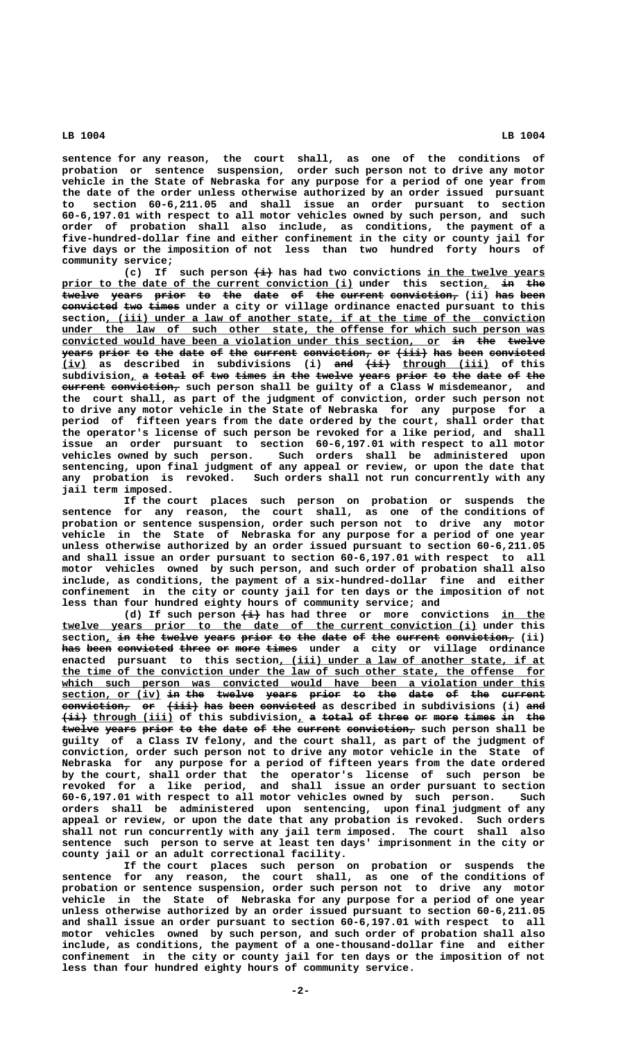**sentence for any reason, the court shall, as one of the conditions of probation or sentence suspension, order such person not to drive any motor vehicle in the State of Nebraska for any purpose for a period of one year from the date of the order unless otherwise authorized by an order issued pursuant to section 60-6,211.05 and shall issue an order pursuant to section 60-6,197.01 with respect to all motor vehicles owned by such person, and such order of probation shall also include, as conditions, the payment of a five-hundred-dollar fine and either confinement in the city or county jail for five days or the imposition of not less than two hundred forty hours of community service;**

(c) If such person  $\leftrightarrow$  has had two convictions in the twelve years prior to the date of the current conviction (i) under this section, in twelve years prior to the date of the current conviction, (ii) has been **convicted two times** under a city or village ordinance enacted pursuant to this  **\_\_\_\_\_\_\_\_\_\_\_\_\_\_\_\_\_\_\_\_\_\_\_\_\_\_\_\_\_\_\_\_\_\_\_\_\_\_\_\_\_\_\_\_\_\_\_\_\_\_\_\_\_\_\_\_\_\_\_\_\_\_\_\_\_\_\_\_\_\_\_ section, (iii) under a law of another state, if at the time of the conviction \_\_\_\_\_\_\_\_\_\_\_\_\_\_\_\_\_\_\_\_\_\_\_\_\_\_\_\_\_\_\_\_\_\_\_\_\_\_\_\_\_\_\_\_\_\_\_\_\_\_\_\_\_\_\_\_\_\_\_\_\_\_\_\_\_\_\_\_\_\_\_\_\_\_\_\_\_\_ under the law of such other state, the offense for which such person was** convicted would have been a violation under this section, or in the twelve **years prior to the date of the current conviction, or (iii) has been convicted** (iv) as described in subdivisions (i) and  $\{\pm i\}$  through (iii) of this  $\overline{\text{subdivision}_{L}}$  a total of two times in the twelve years prior to the date of the **EXIMBE 2012 EXIMBE 2014 WE SHALL CONVICTS:**  $\theta$  and  $\theta$  and stars and such that  $\theta$  and suppose  $\theta$  and **the court shall, as part of the judgment of conviction, order such person not to drive any motor vehicle in the State of Nebraska for any purpose for a period of fifteen years from the date ordered by the court, shall order that the operator's license of such person be revoked for a like period, and shall issue an order pursuant to section 60-6,197.01 with respect to all motor vehicles owned by such person. Such orders shall be administered upon sentencing, upon final judgment of any appeal or review, or upon the date that any probation is revoked. Such orders shall not run concurrently with any jail term imposed.**

**If the court places such person on probation or suspends the sentence for any reason, the court shall, as one of the conditions of probation or sentence suspension, order such person not to drive any motor vehicle in the State of Nebraska for any purpose for a period of one year unless otherwise authorized by an order issued pursuant to section 60-6,211.05 and shall issue an order pursuant to section 60-6,197.01 with respect to all motor vehicles owned by such person, and such order of probation shall also include, as conditions, the payment of a six-hundred-dollar fine and either confinement in the city or county jail for ten days or the imposition of not less than four hundred eighty hours of community service; and**

(d) If such person  $\leftarrow \rightarrow$  has had three or more convictions in the  **\_\_\_\_\_\_\_\_\_\_\_\_\_\_\_\_\_\_\_\_\_\_\_\_\_\_\_\_\_\_\_\_\_\_\_\_\_\_\_\_\_\_\_\_\_\_\_\_\_\_\_\_\_\_\_\_\_\_\_\_\_\_\_\_\_\_\_ twelve years prior to the date of the current conviction (i) under this**  $section_L$  in the twelve years prior to the date of the current conviction, (ii) has been convicted three or more times under a city or village ordinance enacted pursuant to this section, (iii) under a law of another state, if at  **\_\_\_\_\_\_\_\_\_\_\_\_\_\_\_\_\_\_\_\_\_\_\_\_\_\_\_\_\_\_\_\_\_\_\_\_\_\_\_\_\_\_\_\_\_\_\_\_\_\_\_\_\_\_\_\_\_\_\_\_\_\_\_\_\_\_\_\_\_\_\_\_\_\_\_\_\_\_ the time of the conviction under the law of such other state, the offense for** which such person was convicted would have been a violation under this **section, or (iv) in the twelve years prior to the date of the current \_\_\_\_\_\_\_\_\_\_\_\_\_\_\_\_ —— ——— —————— ————— ————— —— ——— ———— —— ——— —————— conviction, or (iii) has been convicted as described in subdivisions (i) and ——————————— —— ————— ——— ———— ————————— ———**  $\overrightarrow{ii}$  through (iii) of this subdivision, a total of three or more times in the  $t$ welve years prior to the date of the current conviction, such person shall be **guilty of a Class IV felony, and the court shall, as part of the judgment of conviction, order such person not to drive any motor vehicle in the State of Nebraska for any purpose for a period of fifteen years from the date ordered by the court, shall order that the operator's license of such person be revoked for a like period, and shall issue an order pursuant to section 60-6,197.01 with respect to all motor vehicles owned by such person. Such orders shall be administered upon sentencing, upon final judgment of any appeal or review, or upon the date that any probation is revoked. Such orders shall not run concurrently with any jail term imposed. The court shall also sentence such person to serve at least ten days' imprisonment in the city or county jail or an adult correctional facility.**

**If the court places such person on probation or suspends the sentence for any reason, the court shall, as one of the conditions of probation or sentence suspension, order such person not to drive any motor vehicle in the State of Nebraska for any purpose for a period of one year unless otherwise authorized by an order issued pursuant to section 60-6,211.05 and shall issue an order pursuant to section 60-6,197.01 with respect to all motor vehicles owned by such person, and such order of probation shall also include, as conditions, the payment of a one-thousand-dollar fine and either confinement in the city or county jail for ten days or the imposition of not less than four hundred eighty hours of community service.**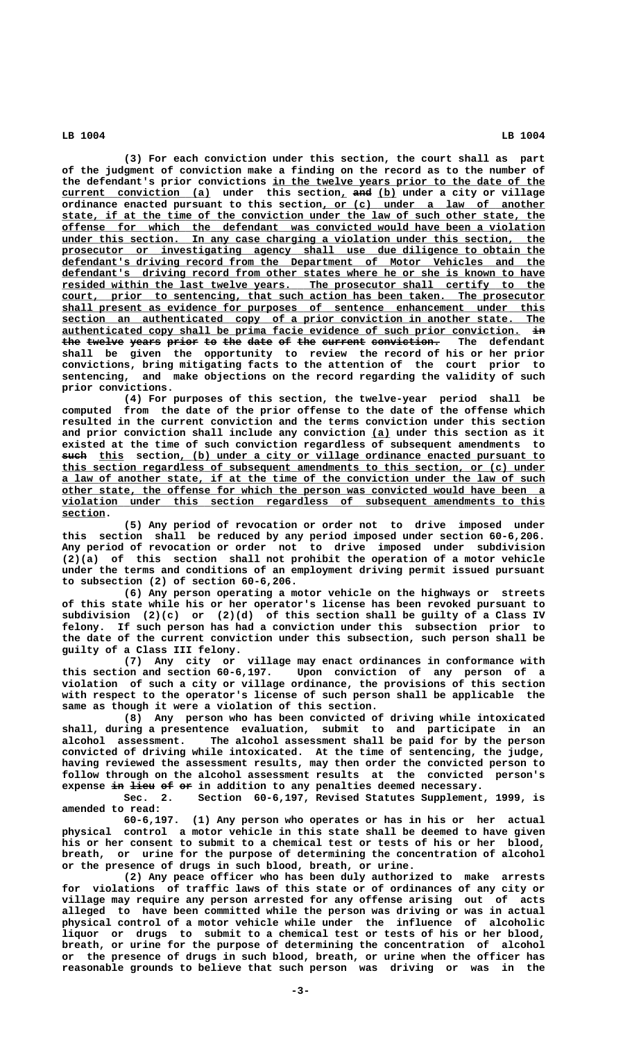**(3) For each conviction under this section, the court shall as part of the judgment of conviction make a finding on the record as to the number of** the defendant's prior convictions in the twelve years prior to the date of the **current conviction (a) under this section, and (b) under a city or village \_\_\_\_\_\_\_\_\_\_\_\_\_\_\_\_\_\_\_\_\_\_\_\_ \_ ——— \_\_\_ \_\_\_\_\_\_\_\_\_\_\_\_\_\_\_\_\_\_\_\_\_\_\_\_\_\_\_\_\_\_\_\_\_\_\_\_ ordinance enacted pursuant to this section, or (c) under a law of another** state, if at the time of the conviction under the law of such other state, the  **\_\_\_\_\_\_\_\_\_\_\_\_\_\_\_\_\_\_\_\_\_\_\_\_\_\_\_\_\_\_\_\_\_\_\_\_\_\_\_\_\_\_\_\_\_\_\_\_\_\_\_\_\_\_\_\_\_\_\_\_\_\_\_\_\_\_\_\_\_\_\_\_\_\_\_\_\_\_ offense for which the defendant was convicted would have been a violation \_\_\_\_\_\_\_\_\_\_\_\_\_\_\_\_\_\_\_\_\_\_\_\_\_\_\_\_\_\_\_\_\_\_\_\_\_\_\_\_\_\_\_\_\_\_\_\_\_\_\_\_\_\_\_\_\_\_\_\_\_\_\_\_\_\_\_\_\_\_\_\_\_\_\_\_\_\_ under this section. In any case charging a violation under this section, the \_\_\_\_\_\_\_\_\_\_\_\_\_\_\_\_\_\_\_\_\_\_\_\_\_\_\_\_\_\_\_\_\_\_\_\_\_\_\_\_\_\_\_\_\_\_\_\_\_\_\_\_\_\_\_\_\_\_\_\_\_\_\_\_\_\_\_\_\_\_\_\_\_\_\_\_\_\_ prosecutor or investigating agency shall use due diligence to obtain the \_\_\_\_\_\_\_\_\_\_\_\_\_\_\_\_\_\_\_\_\_\_\_\_\_\_\_\_\_\_\_\_\_\_\_\_\_\_\_\_\_\_\_\_\_\_\_\_\_\_\_\_\_\_\_\_\_\_\_\_\_\_\_\_\_\_\_\_\_\_\_\_\_\_\_\_\_\_ defendant's driving record from the Department of Motor Vehicles and the \_\_\_\_\_\_\_\_\_\_\_\_\_\_\_\_\_\_\_\_\_\_\_\_\_\_\_\_\_\_\_\_\_\_\_\_\_\_\_\_\_\_\_\_\_\_\_\_\_\_\_\_\_\_\_\_\_\_\_\_\_\_\_\_\_\_\_\_\_\_\_\_\_\_\_\_\_\_ defendant's driving record from other states where he or she is known to have \_\_\_\_\_\_\_\_\_\_\_\_\_\_\_\_\_\_\_\_\_\_\_\_\_\_\_\_\_\_\_\_\_\_\_\_\_\_\_\_\_\_\_\_\_\_\_\_\_\_\_\_\_\_\_\_\_\_\_\_\_\_\_\_\_\_\_\_\_\_\_\_\_\_\_\_\_\_ resided within the last twelve years. The prosecutor shall certify to the \_\_\_\_\_\_\_\_\_\_\_\_\_\_\_\_\_\_\_\_\_\_\_\_\_\_\_\_\_\_\_\_\_\_\_\_\_\_\_\_\_\_\_\_\_\_\_\_\_\_\_\_\_\_\_\_\_\_\_\_\_\_\_\_\_\_\_\_\_\_\_\_\_\_\_\_\_\_ court, prior to sentencing, that such action has been taken. The prosecutor \_\_\_\_\_\_\_\_\_\_\_\_\_\_\_\_\_\_\_\_\_\_\_\_\_\_\_\_\_\_\_\_\_\_\_\_\_\_\_\_\_\_\_\_\_\_\_\_\_\_\_\_\_\_\_\_\_\_\_\_\_\_\_\_\_\_\_\_\_\_\_\_\_\_\_\_\_\_ shall present as evidence for purposes of sentence enhancement under this \_\_\_\_\_\_\_\_\_\_\_\_\_\_\_\_\_\_\_\_\_\_\_\_\_\_\_\_\_\_\_\_\_\_\_\_\_\_\_\_\_\_\_\_\_\_\_\_\_\_\_\_\_\_\_\_\_\_\_\_\_\_\_\_\_\_\_\_\_\_\_\_\_\_\_\_\_\_ section an authenticated copy of a prior conviction in another state. The \_\_\_\_\_\_\_\_\_\_\_\_\_\_\_\_\_\_\_\_\_\_\_\_\_\_\_\_\_\_\_\_\_\_\_\_\_\_\_\_\_\_\_\_\_\_\_\_\_\_\_\_\_\_\_\_\_\_\_\_\_\_\_\_\_\_\_\_\_\_\_\_\_\_ —— authenticated copy shall be prima facie evidence of such prior conviction. in** the twelve years prior to the date of the current conviction. The defendant **shall be given the opportunity to review the record of his or her prior convictions, bring mitigating facts to the attention of the court prior to sentencing, and make objections on the record regarding the validity of such prior convictions.**

**(4) For purposes of this section, the twelve-year period shall be computed from the date of the prior offense to the date of the offense which resulted in the current conviction and the terms conviction under this section and prior conviction shall include any conviction (a) under this section as it \_\_\_ existed at the time of such conviction regardless of subsequent amendments to ———— \_\_\_\_ \_\_\_\_\_\_\_\_\_\_\_\_\_\_\_\_\_\_\_\_\_\_\_\_\_\_\_\_\_\_\_\_\_\_\_\_\_\_\_\_\_\_\_\_\_\_\_\_\_\_\_\_\_\_\_\_\_\_\_ such this section, (b) under a city or village ordinance enacted pursuant to \_\_\_\_\_\_\_\_\_\_\_\_\_\_\_\_\_\_\_\_\_\_\_\_\_\_\_\_\_\_\_\_\_\_\_\_\_\_\_\_\_\_\_\_\_\_\_\_\_\_\_\_\_\_\_\_\_\_\_\_\_\_\_\_\_\_\_\_\_\_\_\_\_\_\_\_\_\_ this section regardless of subsequent amendments to this section, or (c) under \_\_\_\_\_\_\_\_\_\_\_\_\_\_\_\_\_\_\_\_\_\_\_\_\_\_\_\_\_\_\_\_\_\_\_\_\_\_\_\_\_\_\_\_\_\_\_\_\_\_\_\_\_\_\_\_\_\_\_\_\_\_\_\_\_\_\_\_\_\_\_\_\_\_\_\_\_\_ a law of another state, if at the time of the conviction under the law of such \_\_\_\_\_\_\_\_\_\_\_\_\_\_\_\_\_\_\_\_\_\_\_\_\_\_\_\_\_\_\_\_\_\_\_\_\_\_\_\_\_\_\_\_\_\_\_\_\_\_\_\_\_\_\_\_\_\_\_\_\_\_\_\_\_\_\_\_\_\_\_\_\_\_\_\_\_\_ other state, the offense for which the person was convicted would have been a \_\_\_\_\_\_\_\_\_\_\_\_\_\_\_\_\_\_\_\_\_\_\_\_\_\_\_\_\_\_\_\_\_\_\_\_\_\_\_\_\_\_\_\_\_\_\_\_\_\_\_\_\_\_\_\_\_\_\_\_\_\_\_\_\_\_\_\_\_\_\_\_\_\_\_\_\_\_ violation under this section regardless of subsequent amendments to this section. \_\_\_\_\_\_\_**

**(5) Any period of revocation or order not to drive imposed under this section shall be reduced by any period imposed under section 60-6,206. Any period of revocation or order not to drive imposed under subdivision (2)(a) of this section shall not prohibit the operation of a motor vehicle under the terms and conditions of an employment driving permit issued pursuant to subsection (2) of section 60-6,206.**

**(6) Any person operating a motor vehicle on the highways or streets of this state while his or her operator's license has been revoked pursuant to subdivision (2)(c) or (2)(d) of this section shall be guilty of a Class IV felony. If such person has had a conviction under this subsection prior to the date of the current conviction under this subsection, such person shall be guilty of a Class III felony.**

**(7) Any city or village may enact ordinances in conformance with this section and section 60-6,197. Upon conviction of any person of a violation of such a city or village ordinance, the provisions of this section with respect to the operator's license of such person shall be applicable the same as though it were a violation of this section.**

**(8) Any person who has been convicted of driving while intoxicated shall, during a presentence evaluation, submit to and participate in an alcohol assessment. The alcohol assessment shall be paid for by the person convicted of driving while intoxicated. At the time of sentencing, the judge, having reviewed the assessment results, may then order the convicted person to follow through on the alcohol assessment results at the convicted person's** expense in lieu of or in addition to any penalties deemed necessary.

**Sec. 2. Section 60-6,197, Revised Statutes Supplement, 1999, is amended to read:**

**60-6,197. (1) Any person who operates or has in his or her actual physical control a motor vehicle in this state shall be deemed to have given his or her consent to submit to a chemical test or tests of his or her blood, breath, or urine for the purpose of determining the concentration of alcohol or the presence of drugs in such blood, breath, or urine.**

**(2) Any peace officer who has been duly authorized to make arrests for violations of traffic laws of this state or of ordinances of any city or village may require any person arrested for any offense arising out of acts alleged to have been committed while the person was driving or was in actual physical control of a motor vehicle while under the influence of alcoholic liquor or drugs to submit to a chemical test or tests of his or her blood, breath, or urine for the purpose of determining the concentration of alcohol or the presence of drugs in such blood, breath, or urine when the officer has reasonable grounds to believe that such person was driving or was in the**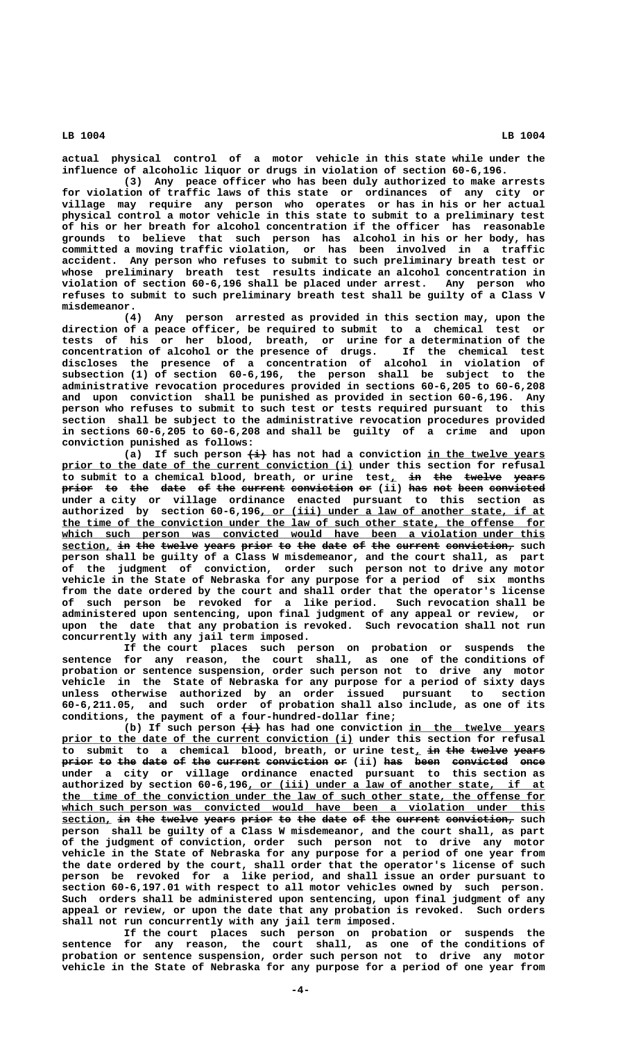**actual physical control of a motor vehicle in this state while under the influence of alcoholic liquor or drugs in violation of section 60-6,196.**

**(3) Any peace officer who has been duly authorized to make arrests for violation of traffic laws of this state or ordinances of any city or village may require any person who operates or has in his or her actual physical control a motor vehicle in this state to submit to a preliminary test of his or her breath for alcohol concentration if the officer has reasonable grounds to believe that such person has alcohol in his or her body, has committed a moving traffic violation, or has been involved in a traffic accident. Any person who refuses to submit to such preliminary breath test or whose preliminary breath test results indicate an alcohol concentration in violation of section 60-6,196 shall be placed under arrest. Any person who refuses to submit to such preliminary breath test shall be guilty of a Class V misdemeanor.**

**(4) Any person arrested as provided in this section may, upon the direction of a peace officer, be required to submit to a chemical test or tests of his or her blood, breath, or urine for a determination of the concentration of alcohol or the presence of drugs. If the chemical test discloses the presence of a concentration of alcohol in violation of subsection (1) of section 60-6,196, the person shall be subject to the administrative revocation procedures provided in sections 60-6,205 to 60-6,208 and upon conviction shall be punished as provided in section 60-6,196. Any person who refuses to submit to such test or tests required pursuant to this section shall be subject to the administrative revocation procedures provided in sections 60-6,205 to 60-6,208 and shall be guilty of a crime and upon conviction punished as follows:**

(a) If such person  $\overleftrightarrow{+}$  has not had a conviction in the twelve years prior to the date of the current conviction (i) under this section for refusal to submit to a chemical blood, breath, or urine test, in the twelve years prior to the date of the current conviction or (ii) has not been convicted **under a city or village ordinance enacted pursuant to this section as** authorized by section 60-6,196, or (iii) under a law of another state, if at the time of the conviction under the law of such other state, the offense for which such person was convicted would have been a violation under this **section, in the twelve years prior to the date of the current conviction, such person shall be guilty of a Class W misdemeanor, and the court shall, as part of the judgment of conviction, order such person not to drive any motor vehicle in the State of Nebraska for any purpose for a period of six months from the date ordered by the court and shall order that the operator's license of such person be revoked for a like period. Such revocation shall be administered upon sentencing, upon final judgment of any appeal or review, or upon the date that any probation is revoked. Such revocation shall not run concurrently with any jail term imposed.**

**If the court places such person on probation or suspends the sentence for any reason, the court shall, as one of the conditions of probation or sentence suspension, order such person not to drive any motor vehicle in the State of Nebraska for any purpose for a period of sixty days unless otherwise authorized by an order issued pursuant to section 60-6,211.05, and such order of probation shall also include, as one of its conditions, the payment of a four-hundred-dollar fine;**

(b) If such person  $\overleftrightarrow{++}$  has had one conviction in the twelve years prior to the date of the current conviction (i) under this section for refusal **to submit to a chemical blood, breath, or urine test, in the twelve years \_ —— ——— —————— ———— prior to the date of the current conviction or (ii) has been convicted once ————— —— ——— ———— —— ——— ——————— —————————— —— ——— ———— ————————— ——— under a city or village ordinance enacted pursuant to this section as** authorized by section 60-6,196, or (iii) under a law of another state, if at  **\_\_\_\_\_\_\_\_\_\_\_\_\_\_\_\_\_\_\_\_\_\_\_\_\_\_\_\_\_\_\_\_\_\_\_\_\_\_\_\_\_\_\_\_\_\_\_\_\_\_\_\_\_\_\_\_\_\_\_\_\_\_\_\_\_\_\_\_\_\_\_\_\_\_\_\_\_\_ the time of the conviction under the law of such other state, the offense for** which such person was convicted would have been a violation under this  $section_L$  in the twelve years prior to the date of the current conviction, such **person shall be guilty of a Class W misdemeanor, and the court shall, as part of the judgment of conviction, order such person not to drive any motor vehicle in the State of Nebraska for any purpose for a period of one year from the date ordered by the court, shall order that the operator's license of such person be revoked for a like period, and shall issue an order pursuant to section 60-6,197.01 with respect to all motor vehicles owned by such person. Such orders shall be administered upon sentencing, upon final judgment of any appeal or review, or upon the date that any probation is revoked. Such orders shall not run concurrently with any jail term imposed.**

**If the court places such person on probation or suspends the sentence for any reason, the court shall, as one of the conditions of probation or sentence suspension, order such person not to drive any motor vehicle in the State of Nebraska for any purpose for a period of one year from**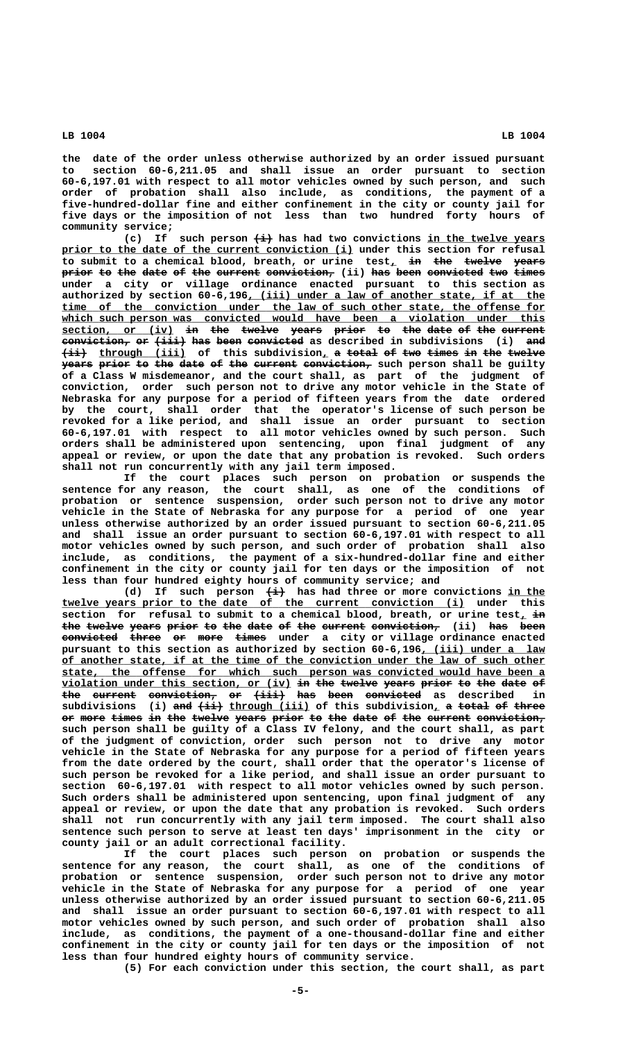**the date of the order unless otherwise authorized by an order issued pursuant to section 60-6,211.05 and shall issue an order pursuant to section 60-6,197.01 with respect to all motor vehicles owned by such person, and such order of probation shall also include, as conditions, the payment of a five-hundred-dollar fine and either confinement in the city or county jail for five days or the imposition of not less than two hundred forty hours of community service;**

(c) If such person  $\leftrightarrow$  has had two convictions in the twelve years  $\frac{prior\ to\ the\ date\ of\ the\ current\ convection\ (i)}$  under this section for refusal to submit to a chemical blood, breath, or urine test<sub>*l*</sub> in the twelve years **prior to the date of the current conviction,** (ii) has been convicted two times **under a city or village ordinance enacted pursuant to this section as** authorized by section 60-6,196, (iii) under a law of another state, if at the  **\_\_\_\_\_\_\_\_\_\_\_\_\_\_\_\_\_\_\_\_\_\_\_\_\_\_\_\_\_\_\_\_\_\_\_\_\_\_\_\_\_\_\_\_\_\_\_\_\_\_\_\_\_\_\_\_\_\_\_\_\_\_\_\_\_\_\_\_\_\_\_\_\_\_\_\_\_\_ time of the conviction under the law of such other state, the offense for** which such person was convicted would have been a violation under this **section, or (iv) in the twelve years prior to the date of the current \_\_\_\_\_\_\_\_\_\_\_\_\_\_\_\_\_\_ —— ——— —————— ————— ————— —— ——— ———— —— ——— —————— conviction, or (iii) has been convicted as described in subdivisions (i) and**  $\overrightarrow{4i}$  through (iii) of this subdivision, a total of two times in the twelve **years prior to the date of the current conviction, such person shall be guilty of a Class W misdemeanor, and the court shall, as part of the judgment of conviction, order such person not to drive any motor vehicle in the State of Nebraska for any purpose for a period of fifteen years from the date ordered by the court, shall order that the operator's license of such person be revoked for a like period, and shall issue an order pursuant to section 60-6,197.01 with respect to all motor vehicles owned by such person. Such orders shall be administered upon sentencing, upon final judgment of any appeal or review, or upon the date that any probation is revoked. Such orders shall not run concurrently with any jail term imposed.**

**If the court places such person on probation or suspends the sentence for any reason, the court shall, as one of the conditions of probation or sentence suspension, order such person not to drive any motor vehicle in the State of Nebraska for any purpose for a period of one year unless otherwise authorized by an order issued pursuant to section 60-6,211.05 and shall issue an order pursuant to section 60-6,197.01 with respect to all motor vehicles owned by such person, and such order of probation shall also include, as conditions, the payment of a six-hundred-dollar fine and either confinement in the city or county jail for ten days or the imposition of not less than four hundred eighty hours of community service; and**

(d) If such person  $\overleftrightarrow{ }$  has had three or more convictions in the  **\_\_\_\_\_\_\_\_\_\_\_\_\_\_\_\_\_\_\_\_\_\_\_\_\_\_\_\_\_\_\_\_\_\_\_\_\_\_\_\_\_\_\_\_\_\_\_\_\_\_\_\_\_\_\_\_\_\_\_\_\_\_\_\_\_ twelve years prior to the date of the current conviction (i) under this** section for refusal to submit to a chemical blood, breath, or urine test,  $\frac{1}{2}$ the twelve years prior to the date of the current conviction, (ii) has been **convicted three or more times under a city or village ordinance enacted ————————— ————— —— ———— ———— pursuant to this section as authorized by section 60-6,196, (iii) under a law \_\_\_\_\_\_\_\_\_\_\_\_\_\_\_\_\_\_\_\_ \_\_\_\_\_\_\_\_\_\_\_\_\_\_\_\_\_\_\_\_\_\_\_\_\_\_\_\_\_\_\_\_\_\_\_\_\_\_\_\_\_\_\_\_\_\_\_\_\_\_\_\_\_\_\_\_\_\_\_\_\_\_\_\_\_\_\_\_\_\_\_\_\_\_\_\_\_\_ of another state, if at the time of the conviction under the law of such other \_\_\_\_\_\_\_\_\_\_\_\_\_\_\_\_\_\_\_\_\_\_\_\_\_\_\_\_\_\_\_\_\_\_\_\_\_\_\_\_\_\_\_\_\_\_\_\_\_\_\_\_\_\_\_\_\_\_\_\_\_\_\_\_\_\_\_\_\_\_\_\_\_\_\_\_\_\_ state, the offense for which such person was convicted would have been a**  $violation$  under this section, or (iv) i<del>n</del> the twelve years prior to the date of **the current conviction, or (iii) has been convicted as described in ——— ——————— ——————————— —— ————— ——— ———— —————————**  $\texttt{subdivisions}$  (i) <del>and (ii)</del>  $\texttt{through (iii)}$  of this  $\texttt{subdivision}$  a <del>total</del> of three or more times in the twelve years prior to the date of the current conviction, **such person shall be guilty of a Class IV felony, and the court shall, as part of the judgment of conviction, order such person not to drive any motor vehicle in the State of Nebraska for any purpose for a period of fifteen years from the date ordered by the court, shall order that the operator's license of such person be revoked for a like period, and shall issue an order pursuant to section 60-6,197.01 with respect to all motor vehicles owned by such person. Such orders shall be administered upon sentencing, upon final judgment of any appeal or review, or upon the date that any probation is revoked. Such orders shall not run concurrently with any jail term imposed. The court shall also sentence such person to serve at least ten days' imprisonment in the city or county jail or an adult correctional facility.**

**If the court places such person on probation or suspends the sentence for any reason, the court shall, as one of the conditions of probation or sentence suspension, order such person not to drive any motor vehicle in the State of Nebraska for any purpose for a period of one year unless otherwise authorized by an order issued pursuant to section 60-6,211.05 and shall issue an order pursuant to section 60-6,197.01 with respect to all motor vehicles owned by such person, and such order of probation shall also include, as conditions, the payment of a one-thousand-dollar fine and either confinement in the city or county jail for ten days or the imposition of not less than four hundred eighty hours of community service.**

**(5) For each conviction under this section, the court shall, as part**